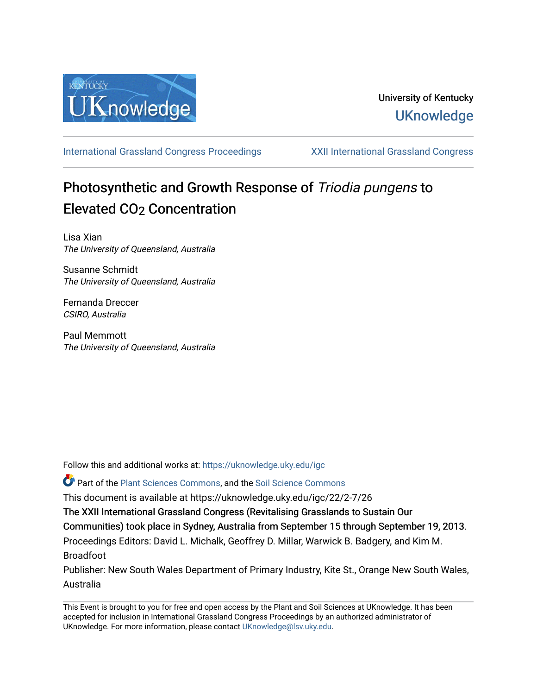

[International Grassland Congress Proceedings](https://uknowledge.uky.edu/igc) [XXII International Grassland Congress](https://uknowledge.uky.edu/igc/22) 

# Photosynthetic and Growth Response of Triodia pungens to Elevated CO<sub>2</sub> Concentration

Lisa Xian The University of Queensland, Australia

Susanne Schmidt The University of Queensland, Australia

Fernanda Dreccer CSIRO, Australia

Paul Memmott The University of Queensland, Australia

Follow this and additional works at: [https://uknowledge.uky.edu/igc](https://uknowledge.uky.edu/igc?utm_source=uknowledge.uky.edu%2Figc%2F22%2F2-7%2F26&utm_medium=PDF&utm_campaign=PDFCoverPages) 

Part of the [Plant Sciences Commons](http://network.bepress.com/hgg/discipline/102?utm_source=uknowledge.uky.edu%2Figc%2F22%2F2-7%2F26&utm_medium=PDF&utm_campaign=PDFCoverPages), and the [Soil Science Commons](http://network.bepress.com/hgg/discipline/163?utm_source=uknowledge.uky.edu%2Figc%2F22%2F2-7%2F26&utm_medium=PDF&utm_campaign=PDFCoverPages) 

This document is available at https://uknowledge.uky.edu/igc/22/2-7/26

The XXII International Grassland Congress (Revitalising Grasslands to Sustain Our

Communities) took place in Sydney, Australia from September 15 through September 19, 2013.

Proceedings Editors: David L. Michalk, Geoffrey D. Millar, Warwick B. Badgery, and Kim M. Broadfoot

Publisher: New South Wales Department of Primary Industry, Kite St., Orange New South Wales, Australia

This Event is brought to you for free and open access by the Plant and Soil Sciences at UKnowledge. It has been accepted for inclusion in International Grassland Congress Proceedings by an authorized administrator of UKnowledge. For more information, please contact [UKnowledge@lsv.uky.edu](mailto:UKnowledge@lsv.uky.edu).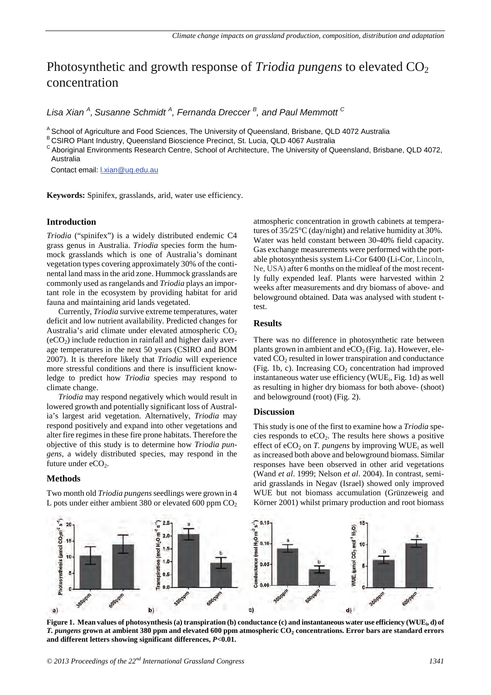# Photosynthetic and growth response of *Triodia pungens* to elevated CO<sub>2</sub> concentration

*Lisa Xian <sup>A</sup> , Susanne Schmidt <sup>A</sup> , Fernanda Dreccer <sup>B</sup> , and Paul Memmott C*

<sup>A</sup> School of Agriculture and Food Sciences, The University of Queensland, Brisbane, QLD 4072 Australia B CSIRO Plant Industry, Queensland Bioscience Precinct, St. Lucia, QLD 4067 Australia

C Aboriginal Environments Research Centre, School of Architecture, The University of Queensland, Brisbane, QLD 4072, Australia

Contact email: l.xian@uq.edu.au

**Keywords:** Spinifex, grasslands, arid, water use efficiency.

# **Introduction**

*Triodia* ("spinifex") is a widely distributed endemic C4 grass genus in Australia. *Triodia* species form the hummock grasslands which is one of Australia's dominant vegetation types covering approximately 30% of the continental land mass in the arid zone. Hummock grasslands are commonly used as rangelands and *Triodia* plays an important role in the ecosystem by providing habitat for arid fauna and maintaining arid lands vegetated.

Currently, *Triodia* survive extreme temperatures, water deficit and low nutrient availability. Predicted changes for Australia's arid climate under elevated atmospheric  $CO<sub>2</sub>$  $(eCO<sub>2</sub>)$  include reduction in rainfall and higher daily average temperatures in the next 50 years (CSIRO and BOM 2007). It is therefore likely that *Triodia* will experience more stressful conditions and there is insufficient knowledge to predict how *Triodia* species may respond to climate change.

*Triodia* may respond negatively which would result in lowered growth and potentially significant loss of Australia's largest arid vegetation. Alternatively, *Triodia* may respond positively and expand into other vegetations and alter fire regimes in these fire prone habitats. Therefore the objective of this study is to determine how *Triodia pungens,* a widely distributed species, may respond in the future under  $eCO<sub>2</sub>$ .

#### **Methods**

Two month old *Triodia pungens*seedlings were grown in 4 L pots under either ambient 380 or elevated 600 ppm  $CO<sub>2</sub>$  atmospheric concentration in growth cabinets at temperatures of 35/25°C (day/night) and relative humidity at 30%. Water was held constant between 30-40% field capacity. Gas exchange measurements were performed with the portable photosynthesis system Li-Cor 6400 (Li-Cor, Lincoln, Ne, USA) after 6 months on the midleaf of the most recently fully expended leaf. Plants were harvested within 2 weeks after measurements and dry biomass of above- and belowground obtained. Data was analysed with student ttest.

# **Results**

There was no difference in photosynthetic rate between plants grown in ambient and  $eCO<sub>2</sub>$  (Fig. 1a). However, elevated  $CO<sub>2</sub>$  resulted in lower transpiration and conductance (Fig. 1b, c). Increasing  $CO<sub>2</sub>$  concentration had improved instantaneous water use efficiency (WUE; Fig. 1d) as well as resulting in higher dry biomass for both above- (shoot) and belowground (root) (Fig. 2).

# **Discussion**

This study is one of the first to examine how a *Triodia* species responds to  $eCO<sub>2</sub>$ . The results here shows a positive effect of eCO<sub>2</sub> on *T. pungens* by improving WUE<sub>i</sub> as well as increased both above and belowground biomass. Similar responses have been observed in other arid vegetations (Wand *et al*. 1999; Nelson *et al*. 2004). In contrast, semiarid grasslands in Negav (Israel) showed only improved WUE but not biomass accumulation (Grünzeweig and Körner 2001) whilst primary production and root biomass



**Figure 1. Mean values of photosynthesis (a) transpiration (b) conductance (c) and instantaneous water use efficiency (WUEi, d) of**  *T. pungens* **grown at ambient 380 ppm and elevated 600 ppm atmospheric CO2 concentrations. Error bars are standard errors and different letters showing significant differences,** *P***<0.01.**